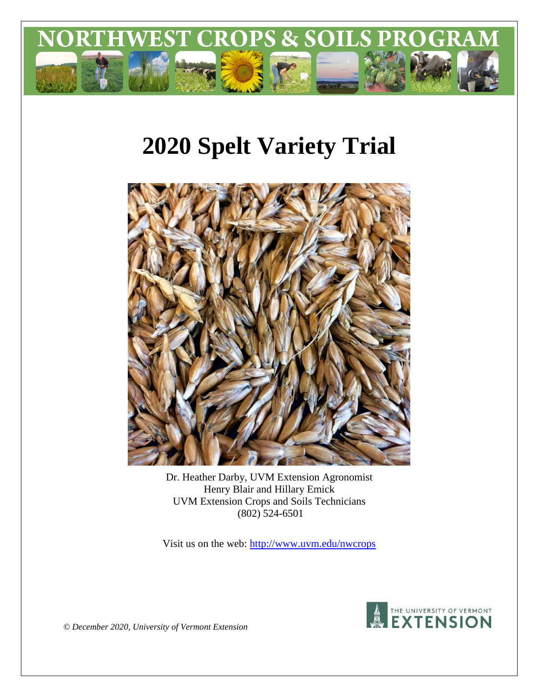

# **2020 Spelt Variety Trial**



Dr. Heather Darby, UVM Extension Agronomist Henry Blair and Hillary Emick UVM Extension Crops and Soils Technicians (802) 524-6501

Visit us on the web:<http://www.uvm.edu/nwcrops>



*© December 2020, University of Vermont Extension*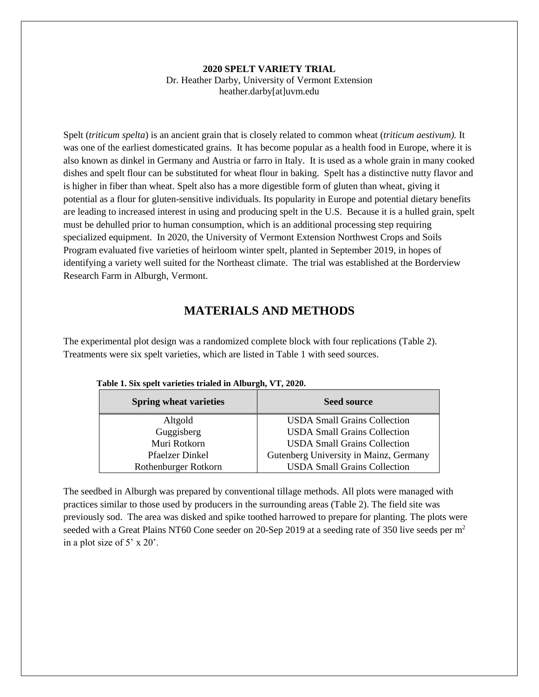#### **2020 SPELT VARIETY TRIAL** Dr. Heather Darby, University of Vermont Extension heather.darby[at]uvm.edu

Spelt (*triticum spelta*) is an ancient grain that is closely related to common wheat (*triticum aestivum).* It was one of the earliest domesticated grains. It has become popular as a health food in Europe, where it is also known as dinkel in Germany and Austria or farro in Italy. It is used as a whole grain in many cooked dishes and spelt flour can be substituted for wheat flour in baking. Spelt has a distinctive nutty flavor and is higher in fiber than wheat. Spelt also has a more digestible form of gluten than wheat, giving it potential as a flour for gluten-sensitive individuals. Its popularity in Europe and potential dietary benefits are leading to increased interest in using and producing spelt in the U.S. Because it is a hulled grain, spelt must be dehulled prior to human consumption, which is an additional processing step requiring specialized equipment. In 2020, the University of Vermont Extension Northwest Crops and Soils Program evaluated five varieties of heirloom winter spelt, planted in September 2019, in hopes of identifying a variety well suited for the Northeast climate. The trial was established at the Borderview Research Farm in Alburgh, Vermont.

# **MATERIALS AND METHODS**

The experimental plot design was a randomized complete block with four replications (Table 2). Treatments were six spelt varieties, which are listed in Table 1 with seed sources.

| <b>Spring wheat varieties</b> | <b>Seed source</b>                     |
|-------------------------------|----------------------------------------|
| Altgold                       | <b>USDA Small Grains Collection</b>    |
| Guggisberg                    | <b>USDA Small Grains Collection</b>    |
| Muri Rotkorn                  | <b>USDA Small Grains Collection</b>    |
| <b>Pfaelzer Dinkel</b>        | Gutenberg University in Mainz, Germany |
| Rothenburger Rotkorn          | <b>USDA Small Grains Collection</b>    |

|  |  | Table 1. Six spelt varieties trialed in Alburgh, VT, 2020. |  |  |  |
|--|--|------------------------------------------------------------|--|--|--|
|  |  |                                                            |  |  |  |

The seedbed in Alburgh was prepared by conventional tillage methods. All plots were managed with practices similar to those used by producers in the surrounding areas (Table 2). The field site was previously sod. The area was disked and spike toothed harrowed to prepare for planting. The plots were seeded with a Great Plains NT60 Cone seeder on 20-Sep 2019 at a seeding rate of 350 live seeds per m<sup>2</sup> in a plot size of 5' x 20'.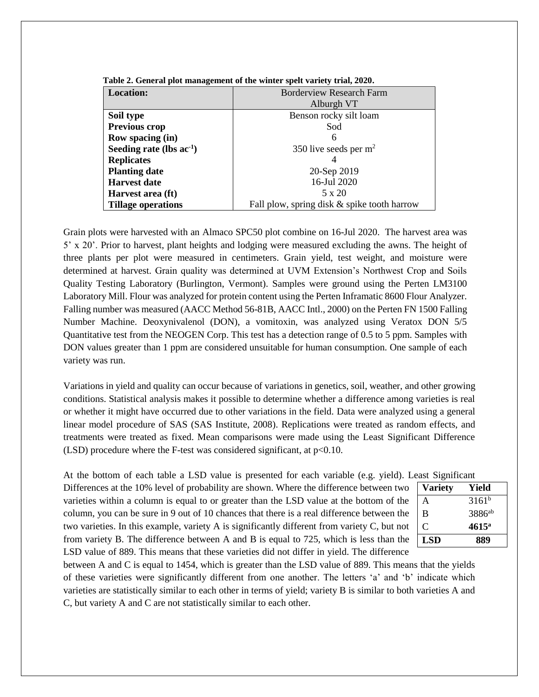| <b>Location:</b>              | <b>Borderview Research Farm</b>             |
|-------------------------------|---------------------------------------------|
|                               | Alburgh VT                                  |
| Soil type                     | Benson rocky silt loam                      |
| Previous crop                 | Sod                                         |
| <b>Row spacing (in)</b>       | 6                                           |
| Seeding rate (lbs $ac^{-1}$ ) | 350 live seeds per $m2$                     |
| <b>Replicates</b>             |                                             |
| <b>Planting date</b>          | 20-Sep 2019                                 |
| <b>Harvest date</b>           | 16-Jul 2020                                 |
| Harvest area (ft)             | 5 x 20                                      |
| <b>Tillage operations</b>     | Fall plow, spring disk & spike tooth harrow |

**Table 2. General plot management of the winter spelt variety trial, 2020.**

Grain plots were harvested with an Almaco SPC50 plot combine on 16-Jul 2020. The harvest area was 5' x 20'. Prior to harvest, plant heights and lodging were measured excluding the awns. The height of three plants per plot were measured in centimeters. Grain yield, test weight, and moisture were determined at harvest. Grain quality was determined at UVM Extension's Northwest Crop and Soils Quality Testing Laboratory (Burlington, Vermont). Samples were ground using the Perten LM3100 Laboratory Mill. Flour was analyzed for protein content using the Perten Inframatic 8600 Flour Analyzer. Falling number was measured (AACC Method 56-81B, AACC Intl., 2000) on the Perten FN 1500 Falling Number Machine. Deoxynivalenol (DON), a vomitoxin, was analyzed using Veratox DON 5/5 Quantitative test from the NEOGEN Corp. This test has a detection range of 0.5 to 5 ppm. Samples with DON values greater than 1 ppm are considered unsuitable for human consumption. One sample of each variety was run.

Variations in yield and quality can occur because of variations in genetics, soil, weather, and other growing conditions. Statistical analysis makes it possible to determine whether a difference among varieties is real or whether it might have occurred due to other variations in the field. Data were analyzed using a general linear model procedure of SAS (SAS Institute, 2008). Replications were treated as random effects, and treatments were treated as fixed. Mean comparisons were made using the Least Significant Difference (LSD) procedure where the F-test was considered significant, at  $p<0.10$ .

At the bottom of each table a LSD value is presented for each variable (e.g. yield). Least Significant

Differences at the 10% level of probability are shown. Where the difference between two varieties within a column is equal to or greater than the LSD value at the bottom of the column, you can be sure in 9 out of 10 chances that there is a real difference between the two varieties. In this example, variety A is significantly different from variety C, but not from variety B. The difference between A and B is equal to 725, which is less than the LSD value of 889. This means that these varieties did not differ in yield. The difference

| <b>JUANE DI CHILLUAIN</b> |                    |  |  |  |  |
|---------------------------|--------------------|--|--|--|--|
| <b>Variety</b>            | Yield              |  |  |  |  |
| A                         | $3161^b$           |  |  |  |  |
| B                         | 3886 <sup>ab</sup> |  |  |  |  |
| C                         | $4615^{\circ}$     |  |  |  |  |
| <b>LSD</b>                | 889                |  |  |  |  |

between A and C is equal to 1454, which is greater than the LSD value of 889. This means that the yields of these varieties were significantly different from one another. The letters 'a' and 'b' indicate which varieties are statistically similar to each other in terms of yield; variety B is similar to both varieties A and C, but variety A and C are not statistically similar to each other.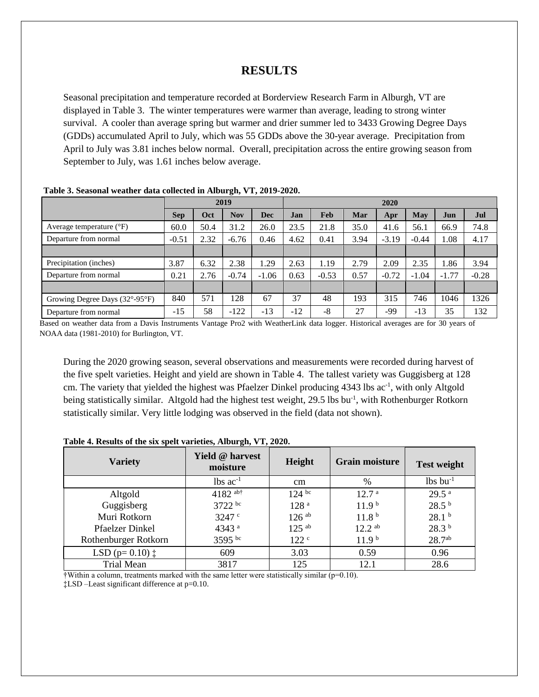# **RESULTS**

Seasonal precipitation and temperature recorded at Borderview Research Farm in Alburgh, VT are displayed in Table 3. The winter temperatures were warmer than average, leading to strong winter survival. A cooler than average spring but warmer and drier summer led to 3433 Growing Degree Days (GDDs) accumulated April to July, which was 55 GDDs above the 30-year average. Precipitation from April to July was 3.81 inches below normal. Overall, precipitation across the entire growing season from September to July, was 1.61 inches below average.

|                                                     | 2019       |      |            | 2020       |       |         |      |         |         |         |         |
|-----------------------------------------------------|------------|------|------------|------------|-------|---------|------|---------|---------|---------|---------|
|                                                     | <b>Sep</b> | Oct  | <b>Nov</b> | <b>Dec</b> | Jan   | Feb     | Mar  | Apr     | May     | Jun     | Jul     |
| Average temperature $({}^{\circ}F)$                 | 60.0       | 50.4 | 31.2       | 26.0       | 23.5  | 21.8    | 35.0 | 41.6    | 56.1    | 66.9    | 74.8    |
| Departure from normal                               | $-0.51$    | 2.32 | $-6.76$    | 0.46       | 4.62  | 0.41    | 3.94 | $-3.19$ | $-0.44$ | 1.08    | 4.17    |
|                                                     |            |      |            |            |       |         |      |         |         |         |         |
| Precipitation (inches)                              | 3.87       | 6.32 | 2.38       | .29        | 2.63  | 1.19    | 2.79 | 2.09    | 2.35    | 1.86    | 3.94    |
| Departure from normal                               | 0.21       | 2.76 | $-0.74$    | $-1.06$    | 0.63  | $-0.53$ | 0.57 | $-0.72$ | $-1.04$ | $-1.77$ | $-0.28$ |
|                                                     |            |      |            |            |       |         |      |         |         |         |         |
| Growing Degree Days $(32^{\circ}$ -95 $^{\circ}$ F) | 840        | 571  | 128        | 67         | 37    | 48      | 193  | 315     | 746     | 1046    | 1326    |
| Departure from normal                               | $-15$      | 58   | $-122$     | $-13$      | $-12$ | -8      | 27   | -99     | $-13$   | 35      | 132     |

**Table 3. Seasonal weather data collected in Alburgh, VT, 2019-2020.** 

Based on weather data from a Davis Instruments Vantage Pro2 with WeatherLink data logger. Historical averages are for 30 years of NOAA data (1981-2010) for Burlington, VT.

During the 2020 growing season, several observations and measurements were recorded during harvest of the five spelt varieties. Height and yield are shown in Table 4. The tallest variety was Guggisberg at 128 cm. The variety that yielded the highest was Pfaelzer Dinkel producing 4343 lbs ac<sup>-1</sup>, with only Altgold being statistically similar. Altgold had the highest test weight, 29.5 lbs bu<sup>-1</sup>, with Rothenburger Rotkorn statistically similar. Very little lodging was observed in the field (data not shown).

| Table 4. Results of the six spelt varieties, Alburgh, VT, 2020. |  |  |  |
|-----------------------------------------------------------------|--|--|--|
|                                                                 |  |  |  |

| <b>Variety</b>              | <b>Yield @ harvest</b><br>moisture | Height              | <b>Grain moisture</b> | <b>Test weight</b>     |
|-----------------------------|------------------------------------|---------------------|-----------------------|------------------------|
|                             | $lbs$ ac <sup>-1</sup>             | cm                  | %                     | $lbs$ bu <sup>-1</sup> |
| Altgold                     | 4182 ab†                           | $124^{bc}$          | 12.7 <sup>a</sup>     | 29.5 <sup>a</sup>      |
| Guggisberg                  | 3722 bc                            | 128 <sup>a</sup>    | 11.9 <sup>b</sup>     | 28.5 <sup>b</sup>      |
| Muri Rotkorn                | 3247 <sup>c</sup>                  | $126$ <sup>ab</sup> | 11.8 <sup>b</sup>     | 28.1 <sup>b</sup>      |
| <b>Pfaelzer Dinkel</b>      | 4343 <sup>a</sup>                  | $125$ <sup>ab</sup> | $12.2^{ab}$           | 28.3 <sup>b</sup>      |
| Rothenburger Rotkorn        | 3595 bc                            | 122 <sup>c</sup>    | 11.9 <sup>b</sup>     | $28.7^{ab}$            |
| LSD ( $p=0.10$ ) $\ddagger$ | 609                                | 3.03                | 0.59                  | 0.96                   |
| <b>Trial Mean</b>           | 3817                               | 125                 | 12.1                  | 28.6                   |

 $\dagger$ Within a column, treatments marked with the same letter were statistically similar ( $p=0.10$ ). ‡LSD –Least significant difference at p=0.10.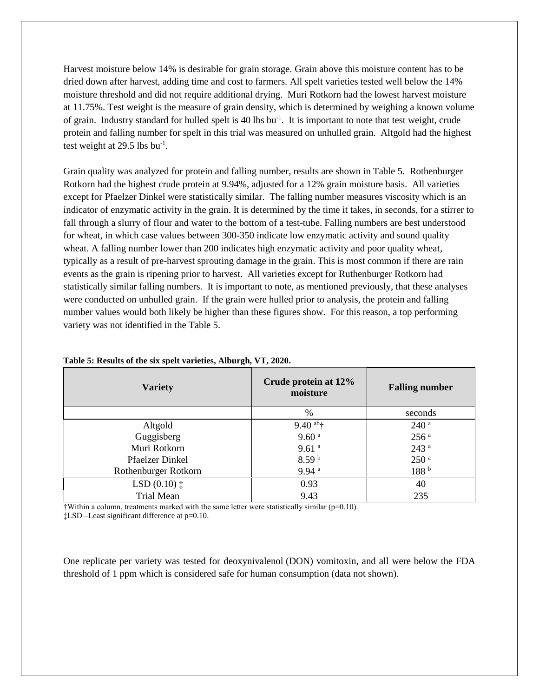Harvest moisture below 14% is desirable for grain storage. Grain above this moisture content has to be dried down after harvest, adding time and cost to farmers. All spelt varieties tested well below the 14% moisture threshold and did not require additional drying. Muri Rotkorn had the lowest harvest moisture at 11.75%. Test weight is the measure of grain density, which is determined by weighing a known volume of grain. Industry standard for hulled spelt is 40 lbs bu<sup>-1</sup>. It is important to note that test weight, crude protein and falling number for spelt in this trial was measured on unhulled grain. Altgold had the highest test weight at  $29.5$  lbs bu<sup>-1</sup>.

Grain quality was analyzed for protein and falling number, results are shown in Table 5. Rothenburger Rotkorn had the highest crude protein at 9.94%, adjusted for a 12% grain moisture basis. All varieties except for Pfaelzer Dinkel were statistically similar. The falling number measures viscosity which is an indicator of enzymatic activity in the grain. It is determined by the time it takes, in seconds, for a stirrer to fall through a slurry of flour and water to the bottom of a test-tube. Falling numbers are best understood for wheat, in which case values between 300-350 indicate low enzymatic activity and sound quality wheat. A falling number lower than 200 indicates high enzymatic activity and poor quality wheat, typically as a result of pre-harvest sprouting damage in the grain. This is most common if there are rain events as the grain is ripening prior to harvest. All varieties except for Ruthenburger Rotkorn had statistically similar falling numbers. It is important to note, as mentioned previously, that these analyses were conducted on unhulled grain. If the grain were hulled prior to analysis, the protein and falling number values would both likely be higher than these figures show. For this reason, a top performing variety was not identified in the Table 5.

| <b>Variety</b>         | Crude protein at 12%<br>moisture  | <b>Falling number</b> |  |  |
|------------------------|-----------------------------------|-----------------------|--|--|
|                        | %                                 | seconds               |  |  |
| Altgold                | $9.40$ <sup>ab</sup> <sup>+</sup> | $240$ <sup>a</sup>    |  |  |
| Guggisberg             | 9.60 <sup>a</sup>                 | 256 <sup>a</sup>      |  |  |
| Muri Rotkorn           | 9.61 <sup>a</sup>                 | 243 <sup>a</sup>      |  |  |
| <b>Pfaelzer Dinkel</b> | 8.59 <sup>b</sup>                 | 250 <sup>a</sup>      |  |  |
| Rothenburger Rotkorn   | 9.94 <sup>a</sup>                 | 188 <sup>b</sup>      |  |  |
| $LSD(0.10)$ $\ddagger$ | 0.93                              | 40                    |  |  |
| Trial Mean             | 9.43                              | 235                   |  |  |

#### **Table 5: Results of the six spelt varieties, Alburgh, VT, 2020.**

 $\dagger$ Within a column, treatments marked with the same letter were statistically similar ( $p=0.10$ ).

‡LSD –Least significant difference at p=0.10.

One replicate per variety was tested for deoxynivalenol (DON) vomitoxin, and all were below the FDA threshold of 1 ppm which is considered safe for human consumption (data not shown).